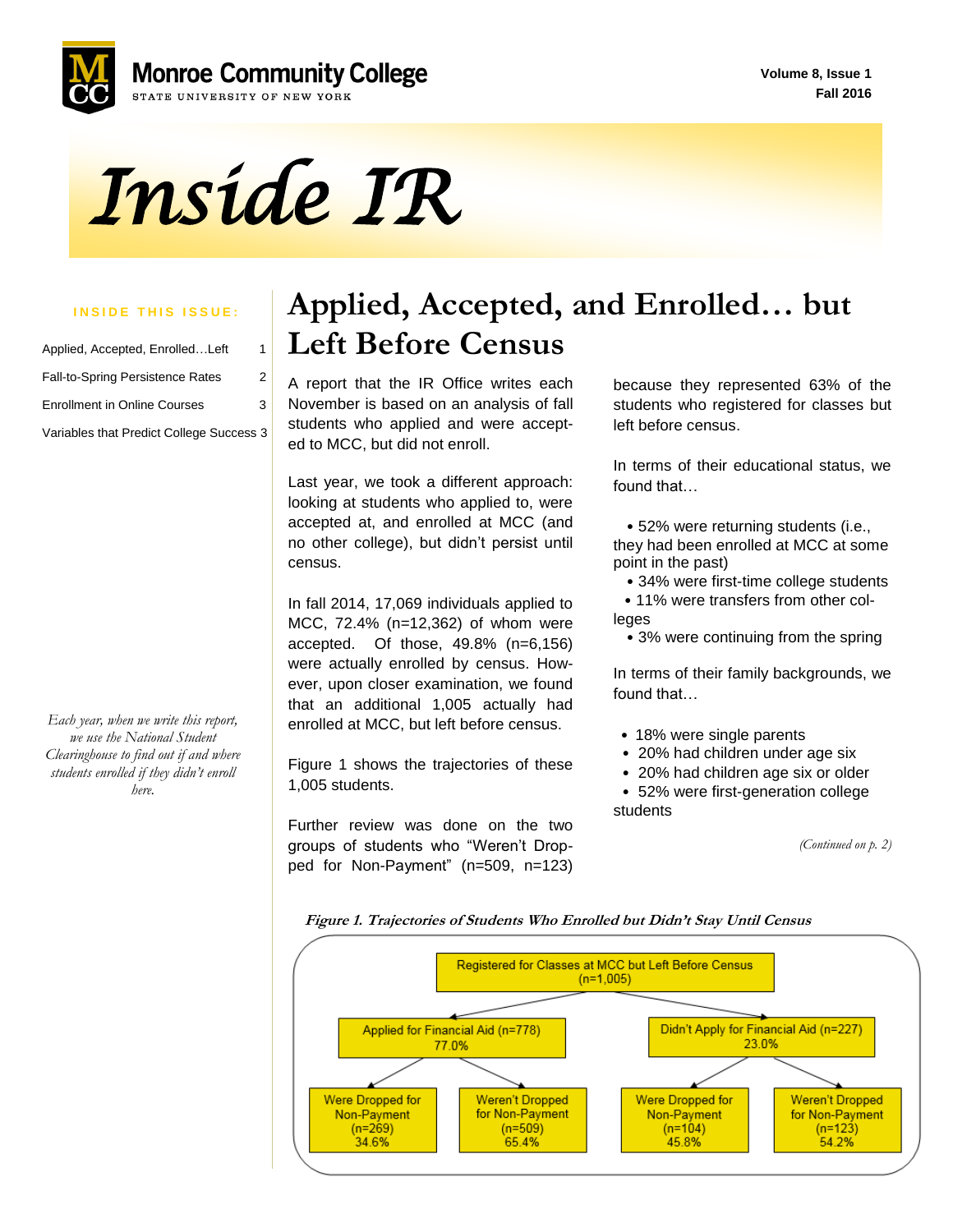**Volume 8, Issue 1 Fall 2016**



# *Inside IR*

#### **INSIDE THIS ISSUE:**

| Applied, Accepted, EnrolledLeft          | 1 |
|------------------------------------------|---|
| <b>Fall-to-Spring Persistence Rates</b>  | 2 |
| <b>Enrollment in Online Courses</b>      | 3 |
| Variables that Predict College Success 3 |   |

*Each year, when we write this report, we use the National Student Clearinghouse to find out if and where students enrolled if they didn't enroll here.*

#### **Applied, Accepted, and Enrolled… but Left Before Census**

 ed to MCC, but did not enroll. A report that the IR Office writes each November is based on an analysis of fall students who applied and were accept-

Last year, we took a different approach: looking at students who applied to, were accepted at, and enrolled at MCC (and no other college), but didn't persist until census.

In fall 2014, 17,069 individuals applied to MCC, 72.4% (n=12,362) of whom were accepted. Of those, 49.8% (n=6,156) were actually enrolled by census. However, upon closer examination, we found that an additional 1,005 actually had enrolled at MCC, but left before census.

Figure 1 shows the trajectories of these 1,005 students.

Further review was done on the two groups of students who "Weren't Dropped for Non-Payment" (n=509, n=123) because they represented 63% of the students who registered for classes but left before census.

In terms of their educational status, we found that…

 • 52% were returning students (i.e., they had been enrolled at MCC at some point in the past)

- 34% were first-time college students
- 11% were transfers from other colleges
	- 3% were continuing from the spring

In terms of their family backgrounds, we found that…

- 18% were single parents
- 20% had children under age six

• 20% had children age six or older • 52% were first-generation college students

*(Continued on p. 2)*

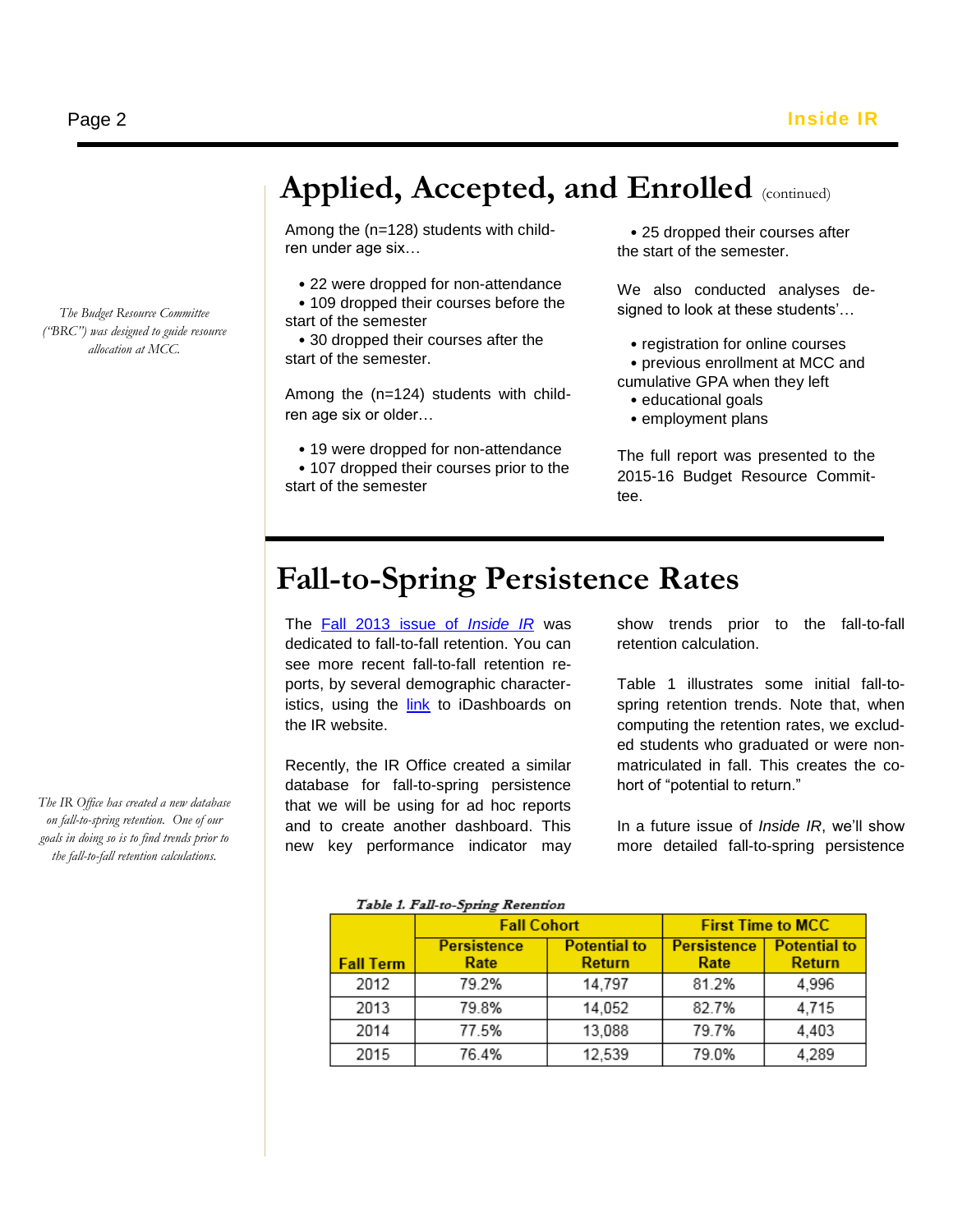*The Budget Resource Committee ("BRC") was designed to guide resource allocation at MCC.*

*The IR Office has created a new database on fall-to-spring retention. One of our goals in doing so is to find trends prior to the fall-to-fall retention calculations.*

### Applied, Accepted, and Enrolled (continued)

Among the (n=128) students with children under age six…

- 22 were dropped for non-attendance
- 109 dropped their courses before the start of the semester

 • 30 dropped their courses after the start of the semester.

Among the (n=124) students with children age six or older…

• 19 were dropped for non-attendance

 • 107 dropped their courses prior to the start of the semester

 • 25 dropped their courses after the start of the semester.

We also conducted analyses designed to look at these students'…

- registration for online courses • previous enrollment at MCC and cumulative GPA when they left
	- educational goals

l

• employment plans

The full report was presented to the 2015-16 Budget Resource Committee.

#### **Fall-to-Spring Persistence Rates**

The [Fall 2013 issue of](http://www.monroecc.edu/depts/research/documents/Fall2013Newsletter_000.pdf) *Inside IR* was dedicated to fall-to-fall retention. You can see more recent fall-to-fall retention reports, by several demographic characteristics, using the [link](http://www.monroecc.edu/depts/research/staffonly/retentionreports.htm) to iDashboards on the IR website.

Recently, the IR Office created a similar database for fall-to-spring persistence that we will be using for ad hoc reports and to create another dashboard. This new key performance indicator may

show trends prior to the fall-to-fall retention calculation.

Table 1 illustrates some initial fall-tospring retention trends. Note that, when computing the retention rates, we excluded students who graduated or were nonmatriculated in fall. This creates the cohort of "potential to return."

In a future issue of *Inside IR*, we'll show more detailed fall-to-spring persistence

|                  | <b>Fall Cohort</b>         |                                      |                            | <b>First Time to MCC</b>             |
|------------------|----------------------------|--------------------------------------|----------------------------|--------------------------------------|
| <b>Fall Term</b> | <b>Persistence</b><br>Rate | <b>Potential to</b><br><b>Return</b> | <b>Persistence</b><br>Rate | <b>Potential to</b><br><b>Return</b> |
| 2012             | 79.2%                      | 14,797                               | 81.2%                      | 4,996                                |
| 2013             | 79.8%                      | 14,052                               | 82.7%                      | 4,715                                |
| 2014             | 77.5%                      | 13,088                               | 79.7%                      | 4,403                                |
| 2015             | 76.4%                      | 12,539                               | 79.0%                      | 4,289                                |

 $T_{\rm{eff}}$   $T_{\rm{eff}}$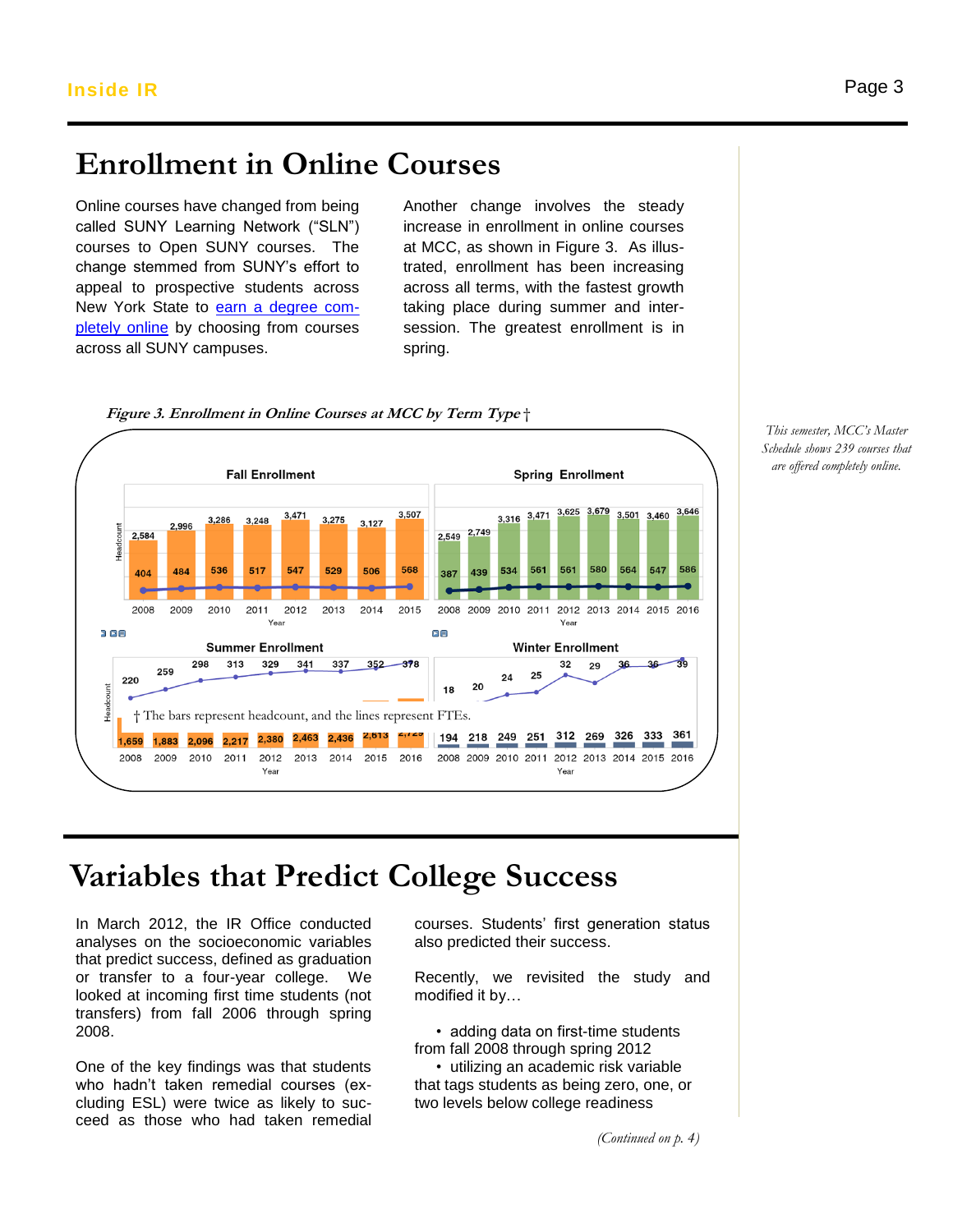# **Enrollment in Online Courses**

Online courses have changed from being called SUNY Learning Network ("SLN") called SUNY Learning Network ("SLN") increase in enrolli<br>courses to Open SUNY courses. The at MCC, as showi change stemmed from SUNY's effort to change stemmed from SUNY's effort to<br>appeal to prospective students across New York State to earn a [degree com](http://navigator.suny.edu/)[pletely online](http://navigator.suny.edu/) by choosing from courses across all SUNY campuses.

Another change involves the steady increase in enrollment in online courses at MCC, as shown in Figure 3. As illustrated, enrollment has been increasing across all terms, with the fastest growth taking place during summer and intersession. The greatest enrollment is in spring.



**Figure 3. Enrollment in Online Courses at MCC by Term Type** †

## **Variables that Predict College Success**

In March 2012, the IR Office conducted analyses on the socioeconomic variables that predict success, defined as graduation or transfer to a four-year college. We looked at incoming first time students (not transfers) from fall 2006 through spring 2008.

One of the key findings was that students who hadn't taken remedial courses (excluding ESL) were twice as likely to succeed as those who had taken remedial

courses. Students' first generation status also predicted their success.

Recently, we revisited the study and modified it by…

 • adding data on first-time students from fall 2008 through spring 2012

 • utilizing an academic risk variable that tags students as being zero, one, or two levels below college readiness